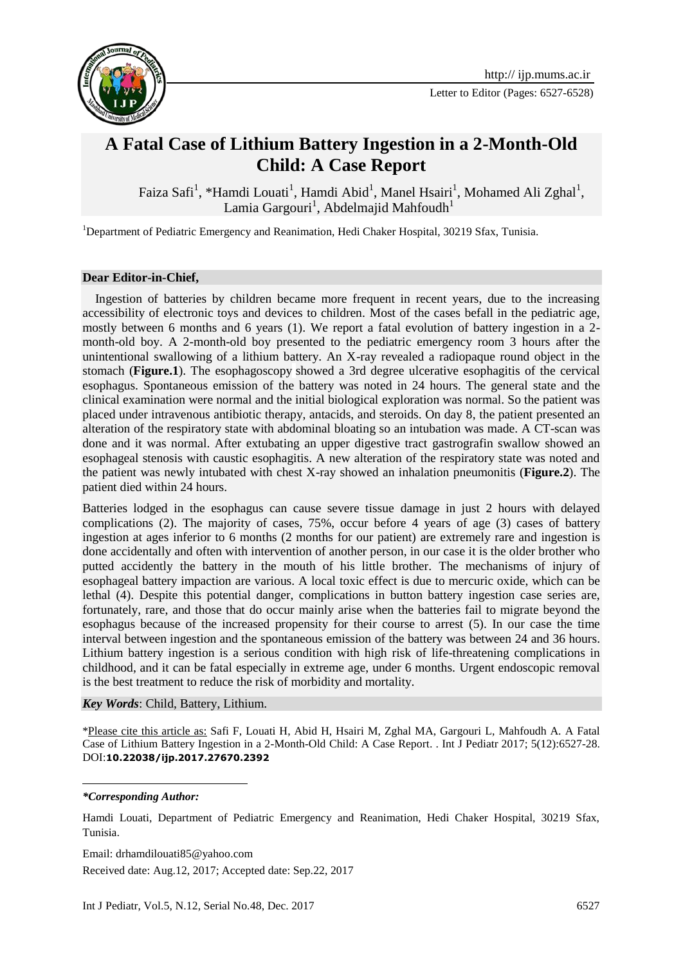

## **A Fatal Case of Lithium Battery Ingestion in a 2-Month-Old Child: A Case Report**

Faiza Safi<sup>1</sup>, \*Hamdi Louati<sup>1</sup>, Hamdi Abid<sup>1</sup>, Manel Hsairi<sup>1</sup>, Mohamed Ali Zghal<sup>1</sup>, Lamia Gargouri<sup>1</sup>, Abdelmajid Mahfoudh<sup>1</sup>

<sup>1</sup>Department of Pediatric Emergency and Reanimation, Hedi Chaker Hospital, 30219 Sfax, Tunisia.

## **Dear Editor-in-Chief,**

 Ingestion of batteries by children became more frequent in recent years, due to the increasing accessibility of electronic toys and devices to children. Most of the cases befall in the pediatric age, mostly between 6 months and 6 years (1). We report a fatal evolution of battery ingestion in a 2 month-old boy. A 2-month-old boy presented to the pediatric emergency room 3 hours after the unintentional swallowing of a lithium battery. An X-ray revealed a radiopaque round object in the stomach (**Figure.1**). The esophagoscopy showed a 3rd degree ulcerative esophagitis of the cervical esophagus. Spontaneous emission of the battery was noted in 24 hours. The general state and the clinical examination were normal and the initial biological exploration was normal. So the patient was placed under intravenous antibiotic therapy, antacids, and steroids. On day 8, the patient presented an alteration of the respiratory state with abdominal bloating so an intubation was made. A CT-scan was done and it was normal. After extubating an upper digestive tract gastrografin swallow showed an esophageal stenosis with caustic esophagitis. A new alteration of the respiratory state was noted and the patient was newly intubated with chest X-ray showed an inhalation pneumonitis (**Figure.2**). The patient died within 24 hours.

Batteries lodged in the esophagus can cause severe tissue damage in just 2 hours with delayed complications (2). The majority of cases, 75%, occur before 4 years of age (3) cases of battery ingestion at ages inferior to 6 months (2 months for our patient) are extremely rare and ingestion is done accidentally and often with intervention of another person, in our case it is the older brother who putted accidently the battery in the mouth of his little brother. The mechanisms of injury of esophageal battery impaction are various. A local toxic effect is due to mercuric oxide, which can be lethal (4). Despite this potential danger, complications in button battery ingestion case series are, fortunately, rare, and those that do occur mainly arise when the batteries fail to migrate beyond the esophagus because of the increased propensity for their course to arrest (5). In our case the time interval between ingestion and the spontaneous emission of the battery was between 24 and 36 hours. Lithium battery ingestion is a serious condition with high risk of life-threatening complications in childhood, and it can be fatal especially in extreme age, under 6 months. Urgent endoscopic removal is the best treatment to reduce the risk of morbidity and mortality.

*Key Words*: Child, Battery, Lithium.

\*Please cite this article as: Safi F, Louati H, Abid H, Hsairi M, Zghal MA, Gargouri L, Mahfoudh A. A Fatal Case of Lithium Battery Ingestion in a 2-Month-Old Child: A Case Report. . Int J Pediatr 2017; 5(12):6527-28. DOI:**10.22038/ijp.2017.27670.2392**

*\*Corresponding Author:*

1

Hamdi Louati, Department of Pediatric Emergency and Reanimation, Hedi Chaker Hospital, 30219 Sfax, Tunisia.

Email: drhamdilouati85@yahoo.com

Received date: Aug.12, 2017; Accepted date: Sep.22, 2017